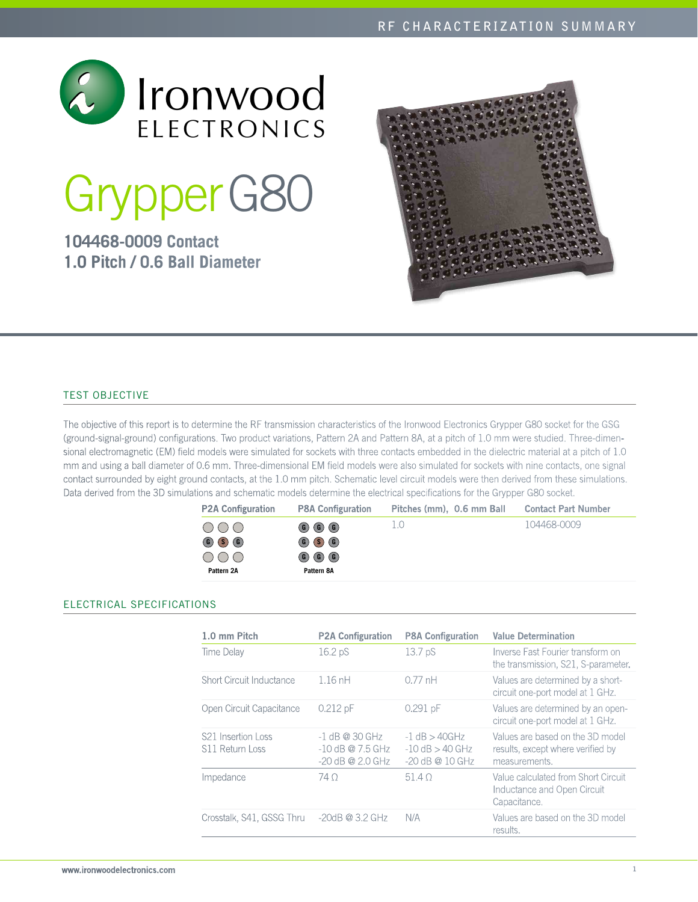

# GrypperG80

# **104468-0009 Contact 1.0 Pitch / 0.6 Ball Diameter**



# Test Objective

The objective of this report is to determine the RF transmission characteristics of the Ironwood Electronics Grypper G80 socket for the GSG (ground-signal-ground) configurations. Two product variations, Pattern 2A and Pattern 8A, at a pitch of 1.0 mm were studied. Three-dimensional electromagnetic (EM) field models were simulated for sockets with three contacts embedded in the dielectric material at a pitch of 1.0 mm and using a ball diameter of 0.6 mm. Three-dimensional EM field models were also simulated for sockets with nine contacts, one signal contact surrounded by eight ground contacts, at the 1.0 mm pitch. Schematic level circuit models were then derived from these simulations. Data derived from the 3D simulations and schematic models determine the electrical specifications for the Grypper G80 socket.

| <b>P2A Configuration</b>                                                                     | <b>P8A Configuration</b>                                                                                                                                                                                                             | Pitches (mm), 0.6 mm Ball | <b>Contact Part Number</b> |
|----------------------------------------------------------------------------------------------|--------------------------------------------------------------------------------------------------------------------------------------------------------------------------------------------------------------------------------------|---------------------------|----------------------------|
| $\circ$<br>$\circ$ $\circ$ $\circ$ $\circ$<br>$\bigcirc$ $\bigcirc$ $\bigcirc$<br>Pattern 2A | $\left(\begin{matrix} 6 \end{matrix}\right)$ $\left(\begin{matrix} 6 \end{matrix}\right)$ $\left(\begin{matrix} 6 \end{matrix}\right)$<br>$\circ$ $\circ$ $\circ$ $\circ$<br>$\circled{6}$ $\circled{6}$ $\circled{6}$<br>Pattern 8A | 1.0                       | 104468-0009                |

# Electrical SPECIFICATIONS

| 1.0 mm Pitch                                      | <b>P2A Configuration</b>                                     | <b>P8A Configuration</b>                                      | <b>Value Determination</b>                                                             |
|---------------------------------------------------|--------------------------------------------------------------|---------------------------------------------------------------|----------------------------------------------------------------------------------------|
| Time Delay                                        | 16.2 pS                                                      | 13.7 <sub>p</sub> S                                           | Inverse Fast Fourier transform on<br>the transmission, S21, S-parameter.               |
| Short Circuit Inductance                          | $1.16$ nH                                                    | $0.77$ nH                                                     | Values are determined by a short-<br>circuit one-port model at 1 GHz.                  |
| Open Circuit Capacitance                          | $0.212$ pF                                                   | $0.291$ pF                                                    | Values are determined by an open-<br>circuit one-port model at 1 GHz.                  |
| S <sub>21</sub> Insertion Loss<br>S11 Return Loss | $-1$ dB @ 30 GHz<br>$-10$ dB @ 7.5 GHz<br>$-20$ dB @ 2.0 GHz | $-1$ dB $>$ 40GHz<br>$-10$ dB $>$ 40 GHz<br>$-20$ dB @ 10 GHz | Values are based on the 3D model<br>results, except where verified by<br>measurements. |
| Impedance                                         | 74 O                                                         | 51.40                                                         | Value calculated from Short Circuit<br>Inductance and Open Circuit<br>Capacitance.     |
| Crosstalk, S41, GSSG Thru                         | $-20dB \ @ \ 3.2 \ GHz$                                      | N/A                                                           | Values are based on the 3D model<br>results.                                           |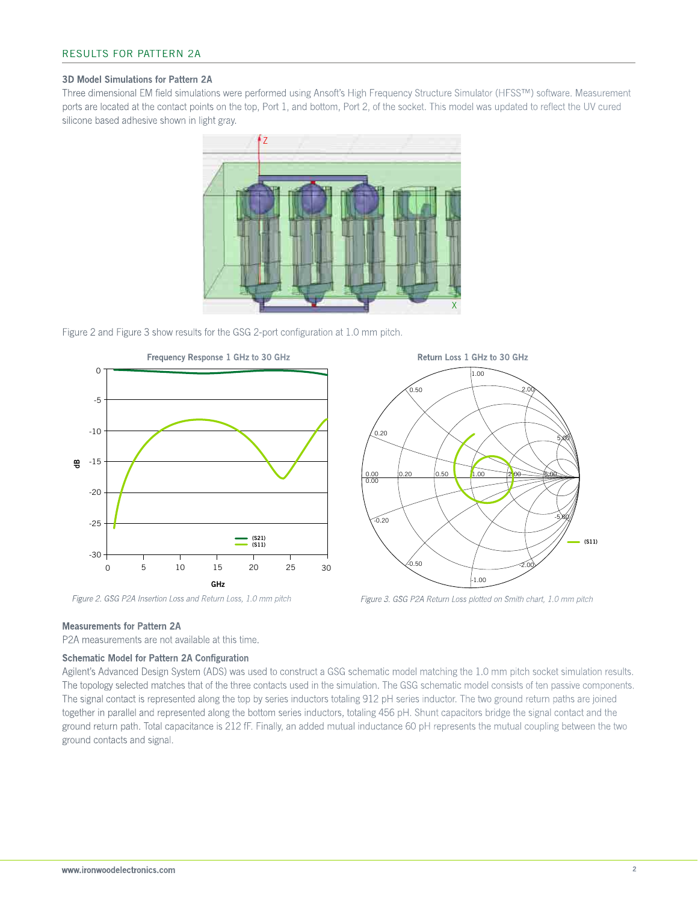#### 3D Model Simulations for Pattern 2A

Three dimensional EM field simulations were performed using Ansoft's High Frequency Structure Simulator (HFSS™) software. Measurement ports are located at the contact points on the top, Port 1, and bottom, Port 2, of the socket. This model was updated to reflect the UV cured silicone based adhesive shown in light gray.



Figure 2 and Figure 3 show results for the GSG 2-port configuration at 1.0 mm pitch.





*Figure 2. GSG P2A Insertion Loss and Return Loss, 1.0 mm pitch Figure 3. GSG P2A Return Loss plotted on Smith chart, 1.0 mm pitch*

#### Measurements for Pattern 2A

P2A measurements are not available at this time.

#### Schematic Model for Pattern 2A Configuration

Agilent's Advanced Design System (ADS) was used to construct a GSG schematic model matching the 1.0 mm pitch socket simulation results. The topology selected matches that of the three contacts used in the simulation. The GSG schematic model consists of ten passive components. The signal contact is represented along the top by series inductors totaling 912 pH series inductor. The two ground return paths are joined together in parallel and represented along the bottom series inductors, totaling 456 pH. Shunt capacitors bridge the signal contact and the ground return path. Total capacitance is 212 fF. Finally, an added mutual inductance 60 pH represents the mutual coupling between the two ground contacts and signal.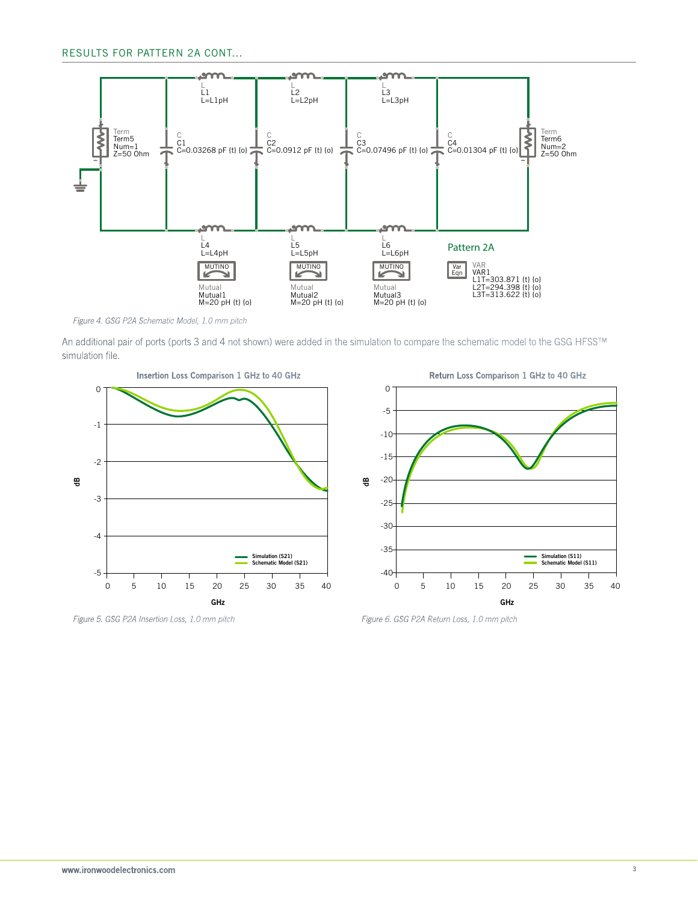

*Figure 4. GSG P2A Schematic Model, 1.0 mm pitch*

An additional pair of ports (ports 3 and 4 not shown) were added in the simulation to compare the schematic model to the GSG HFSS™ simulation file.



 0 -5  $-10^{-}$ -15 dB -20 -25 -30 -35 Simulation (S11) Schematic Model (S11)  $-40$ т ℸ 0 5 10 15 20 25 30 35 40 5 10 15 20 25 30 35 GHz

*Figure 5. GSG P2A Insertion Loss, 1.0 mm pitch Figure 6. GSG P2A Return Loss, 1.0 mm pitch*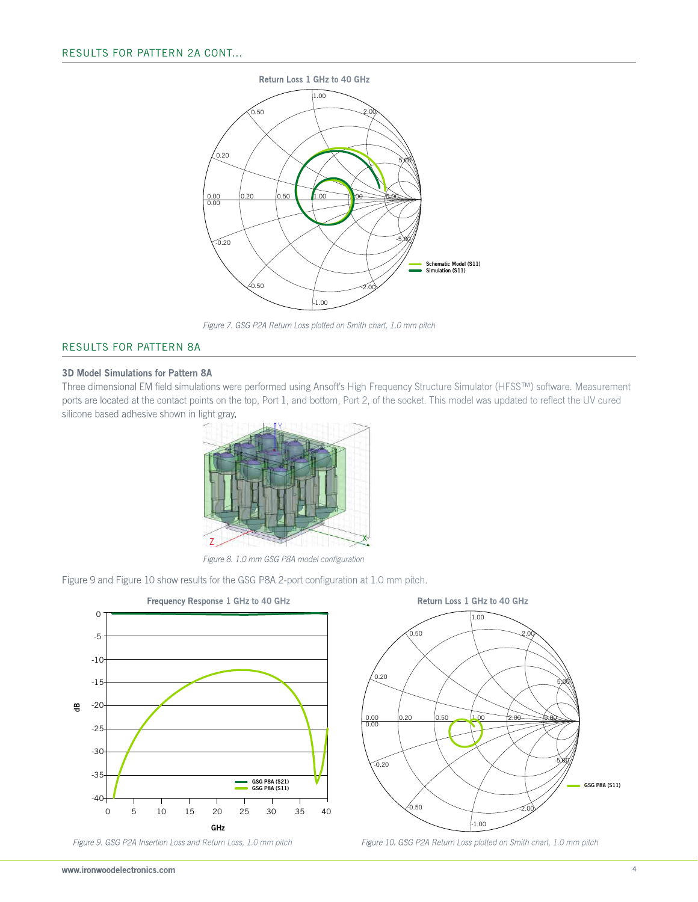

*Figure 7. GSG P2A Return Loss plotted on Smith chart, 1.0 mm pitch*

#### Results for Pattern 8A

#### 3D Model Simulations for Pattern 8A

Three dimensional EM field simulations were performed using Ansoft's High Frequency Structure Simulator (HFSS™) software. Measurement ports are located at the contact points on the top, Port 1, and bottom, Port 2, of the socket. This model was updated to reflect the UV cured silicone based adhesive shown in light gray.



*Figure 8. 1.0 mm GSG P8A model configuration*

Figure 9 and Figure 10 show results for the GSG P8A 2-port configuration at 1.0 mm pitch.





*Figure 9. GSG P2A Insertion Loss and Return Loss, 1.0 mm pitch Figure 10. GSG P2A Return Loss plotted on Smith chart, 1.0 mm pitch*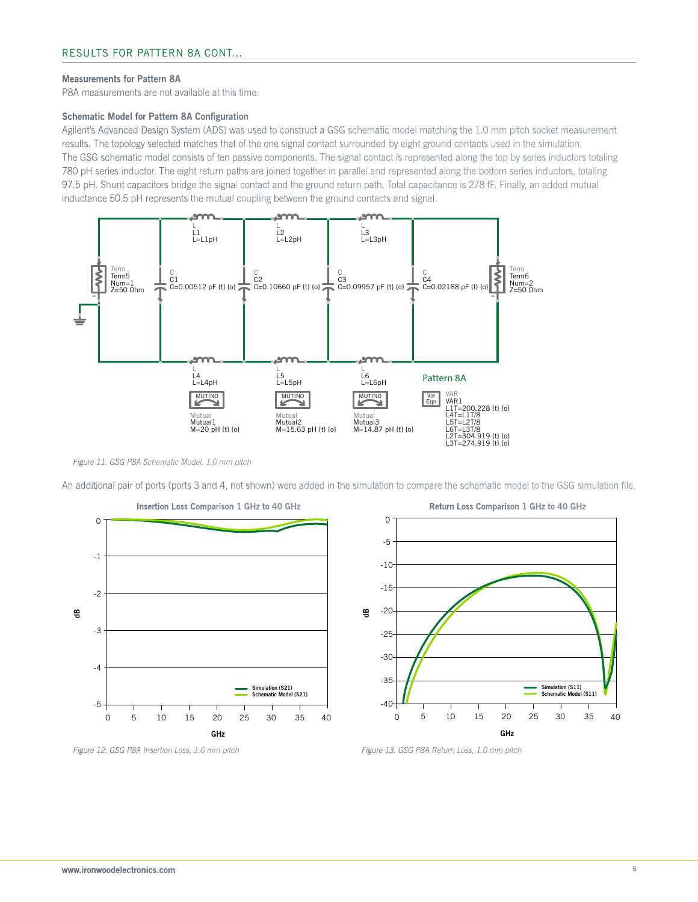#### Measurements for Pattern 8A

P8A measurements are not available at this time.

#### Schematic Model for Pattern 8A Configuration

Agilent's Advanced Design System (ADS) was used to construct a GSG schematic model matching the 1.0 mm pitch socket measurement results. The topology selected matches that of the one signal contact surrounded by eight ground contacts used in the simulation. The GSG schematic model consists of ten passive components. The signal contact is represented along the top by series inductors totaling 780 pH series inductor. The eight return paths are joined together in parallel and represented along the bottom series inductors, totaling 97.5 pH. Shunt capacitors bridge the signal contact and the ground return path. Total capacitance is 278 fF. Finally, an added mutual inductance 50.5 pH represents the mutual coupling between the ground contacts and signal.



*Figure 11. GSG P8A Schematic Model, 1.0 mm pitch*

An additional pair of ports (ports 3 and 4, not shown) were added in the simulation to compare the schematic model to the GSG simulation file.





*Figure 12. GSG P8A Insertion Loss, 1.0 mm pitch Figure 13. GSG P8A Return Loss, 1.0 mm pitch*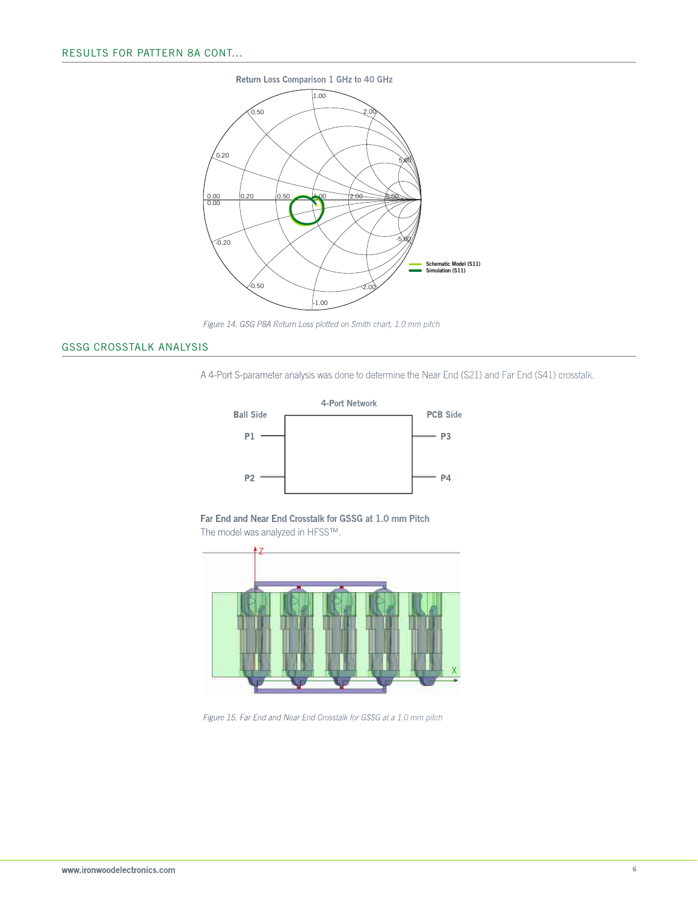

*Figure 14. GSG P8A Return Loss plotted on Smith chart, 1.0 mm pitch*

# GSSG Crosstalk Analysis

A 4-Port S-parameter analysis was done to determine the Near End (S21) and Far End (S41) crosstalk.



Far End and Near End Crosstalk for GSSG at 1.0 mm Pitch The model was analyzed in HFSS™.



*Figure 15. Far End and Near End Crosstalk for GSSG at a 1.0 mm pitch*